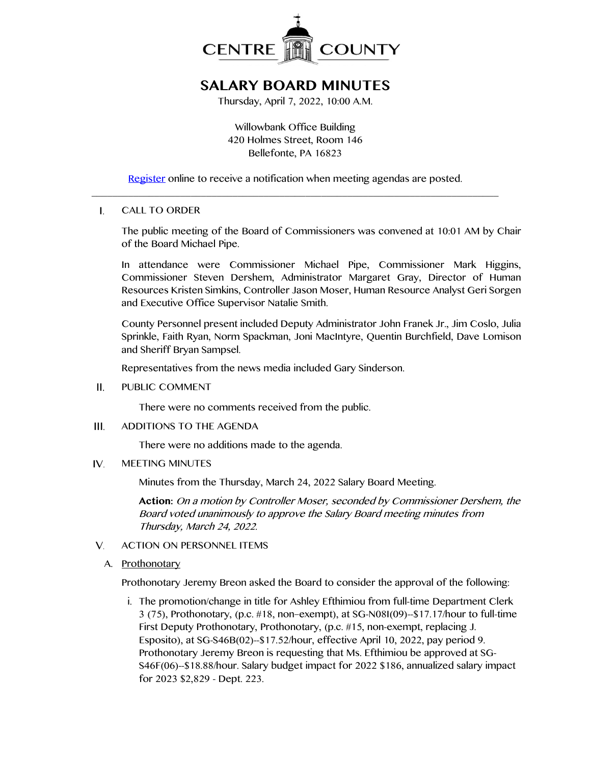

# **SALARY BOARD MINUTES**

Thursday, April 7, 2022, 10:00 A.M.

Willowbank Office Building 420 Holmes Street, Room 146 Bellefonte, PA 16823

[Register](http://www.centrecountypa.gov/AgendaCenter) online to receive a notification when meeting agendas are posted.  $\_$  , and the set of the set of the set of the set of the set of the set of the set of the set of the set of the set of the set of the set of the set of the set of the set of the set of the set of the set of the set of th

#### I. CALL TO ORDER

The public meeting of the Board of Commissioners was convened at 10:01 AM by Chair of the Board Michael Pipe.

In attendance were Commissioner Michael Pipe, Commissioner Mark Higgins, Commissioner Steven Dershem, Administrator Margaret Gray, Director of Human Resources Kristen Simkins, Controller Jason Moser, Human Resource Analyst Geri Sorgen and Executive Office Supervisor Natalie Smith.

County Personnel present included Deputy Administrator John Franek Jr., Jim Coslo, Julia Sprinkle, Faith Ryan, Norm Spackman, Joni MacIntyre, Quentin Burchfield, Dave Lomison and Sheriff Bryan Sampsel.

Representatives from the news media included Gary Sinderson.

 $II.$ PUBLIC COMMENT

There were no comments received from the public.

 $III.$ ADDITIONS TO THE AGENDA

There were no additions made to the agenda.

IV. MEETING MINUTES

Minutes from the Thursday, March 24, 2022 Salary Board Meeting.

**Action:** On a motion by Controller Moser, seconded by Commissioner Dershem, the Board voted unanimously to approve the Salary Board meeting minutes from Thursday, March 24, 2022.

- $V_{1}$ ACTION ON PERSONNEL ITEMS
	- A. Prothonotary

Prothonotary Jeremy Breon asked the Board to consider the approval of the following:

i. The promotion/change in title for Ashley Efthimiou from full-time Department Clerk 3 (75), Prothonotary, (p.c. #18, non–exempt), at SG-N08I(09)--\$17.17/hour to full-time First Deputy Prothonotary, Prothonotary, (p.c. #15, non-exempt, replacing J. Esposito), at SG-S46B(02)--\$17.52/hour, effective April 10, 2022, pay period 9. Prothonotary Jeremy Breon is requesting that Ms. Efthimiou be approved at SG-S46F(06)--\$18.88/hour. Salary budget impact for 2022 \$186, annualized salary impact for 2023 \$2,829 - Dept. 223.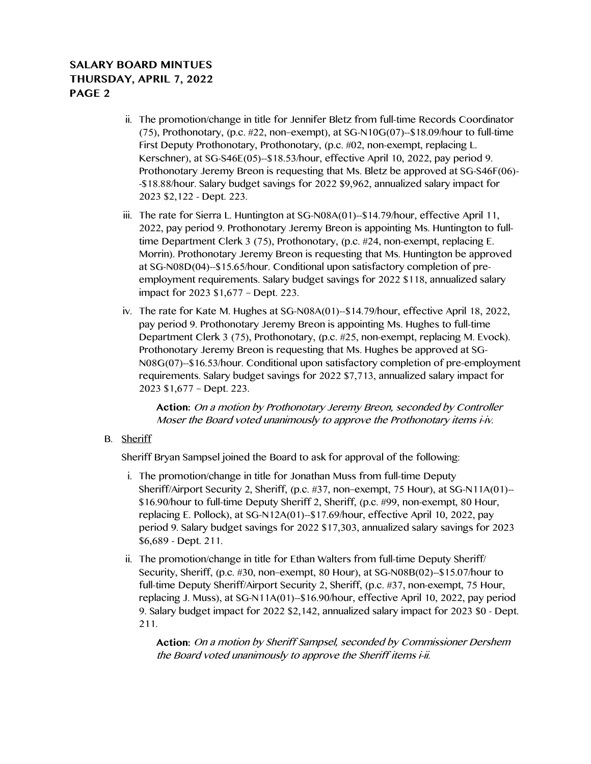## **SALARY BOARD MINTUES THURSDAY, APRIL 7, 2022 PAGE 2**

- ii. The promotion/change in title for Jennifer Bletz from full-time Records Coordinator (75), Prothonotary, (p.c.  $\#22$ , non–exempt), at SG-N10G(07)--\$18.09/hour to full-time First Deputy Prothonotary, Prothonotary, (p.c. #02, non-exempt, replacing L. Kerschner), at SG-S46E(05)--\$18.53/hour, effective April 10, 2022, pay period 9. Prothonotary Jeremy Breon is requesting that Ms. Bletz be approved at SG-S46F(06)- -\$18.88/hour. Salary budget savings for 2022 \$9,962, annualized salary impact for 2023 \$2,122 - Dept. 223.
- iii. The rate for Sierra L. Huntington at SG-N08A(01)--\$14.79/hour, effective April 11, 2022, pay period 9. Prothonotary Jeremy Breon is appointing Ms. Huntington to fulltime Department Clerk 3 (75), Prothonotary, (p.c. #24, non-exempt, replacing E. Morrin). Prothonotary Jeremy Breon is requesting that Ms. Huntington be approved at SG-N08D(04)--\$15.65/hour. Conditional upon satisfactory completion of preemployment requirements. Salary budget savings for 2022 \$118, annualized salary impact for 2023 \$1,677 – Dept. 223.
- iv. The rate for Kate M. Hughes at SG-N08A(01)--\$14.79/hour, effective April 18, 2022, pay period 9. Prothonotary Jeremy Breon is appointing Ms. Hughes to full-time Department Clerk 3 (75), Prothonotary, (p.c. #25, non-exempt, replacing M. Evock). Prothonotary Jeremy Breon is requesting that Ms. Hughes be approved at SG-N08G(07)--\$16.53/hour. Conditional upon satisfactory completion of pre-employment requirements. Salary budget savings for 2022 \$7,713, annualized salary impact for 2023 \$1,677 – Dept. 223.

**Action:** On a motion by Prothonotary Jeremy Breon, seconded by Controller Moser the Board voted unanimously to approve the Prothonotary items i-iv.

B. Sheriff

Sheriff Bryan Sampsel joined the Board to ask for approval of the following:

- i. The promotion/change in title for Jonathan Muss from full-time Deputy Sheriff/Airport Security 2, Sheriff, (p.c. #37, non–exempt, 75 Hour), at SG-N11A(01)-- \$16.90/hour to full-time Deputy Sheriff 2, Sheriff, (p.c. #99, non-exempt, 80 Hour, replacing E. Pollock), at SG-N12A(01)--\$17.69/hour, effective April 10, 2022, pay period 9. Salary budget savings for 2022 \$17,303, annualized salary savings for 2023 \$6,689 - Dept. 211.
- ii. The promotion/change in title for Ethan Walters from full-time Deputy Sheriff/ Security, Sheriff, (p.c. #30, non–exempt, 80 Hour), at SG-N08B(02)--\$15.07/hour to full-time Deputy Sheriff/Airport Security 2, Sheriff, (p.c. #37, non-exempt, 75 Hour, replacing J. Muss), at SG-N11A(01)--\$16.90/hour, effective April 10, 2022, pay period 9. Salary budget impact for 2022 \$2,142, annualized salary impact for 2023 \$0 - Dept. 211.

**Action:** On a motion by Sheriff Sampsel, seconded by Commissioner Dershem the Board voted unanimously to approve the Sheriff items i-ii.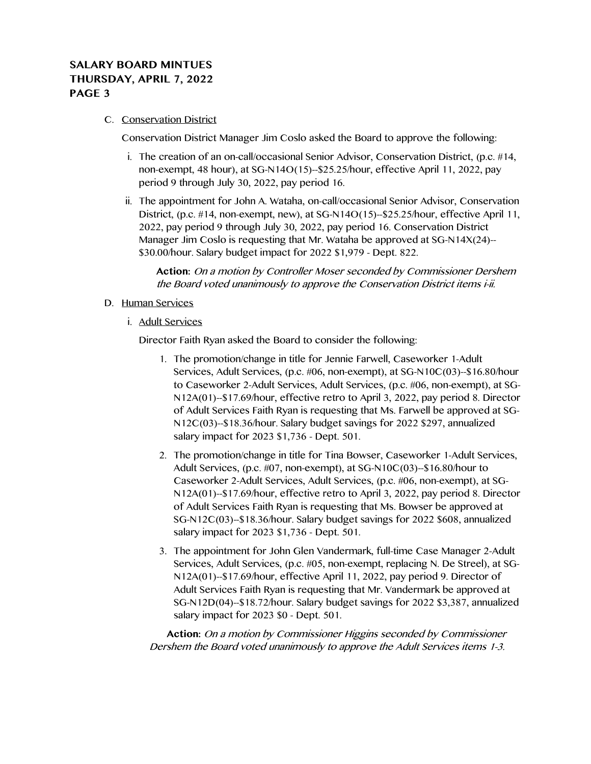## **SALARY BOARD MINTUES THURSDAY, APRIL 7, 2022 PAGE 3**

#### C. Conservation District

Conservation District Manager Jim Coslo asked the Board to approve the following:

- i. The creation of an on-call/occasional Senior Advisor, Conservation District, (p.c. #14, non-exempt, 48 hour), at SG-N14O(15)--\$25.25/hour, effective April 11, 2022, pay period 9 through July 30, 2022, pay period 16.
- ii. The appointment for John A. Wataha, on-call/occasional Senior Advisor, Conservation District, (p.c. #14, non-exempt, new), at SG-N14O(15)--\$25.25/hour, effective April 11, 2022, pay period 9 through July 30, 2022, pay period 16. Conservation District Manager Jim Coslo is requesting that Mr. Wataha be approved at SG-N14X(24)-- \$30.00/hour. Salary budget impact for 2022 \$1,979 - Dept. 822.

**Action:** On a motion by Controller Moser seconded by Commissioner Dershem the Board voted unanimously to approve the Conservation District items i-ii.

- D. Human Services
	- i. Adult Services

Director Faith Ryan asked the Board to consider the following:

- 1. The promotion/change in title for Jennie Farwell, Caseworker 1-Adult Services, Adult Services, (p.c. #06, non-exempt), at SG-N10C(03)--\$16.80/hour to Caseworker 2-Adult Services, Adult Services, (p.c. #06, non-exempt), at SG-N12A(01)--\$17.69/hour, effective retro to April 3, 2022, pay period 8. Director of Adult Services Faith Ryan is requesting that Ms. Farwell be approved at SG-N12C(03)--\$18.36/hour. Salary budget savings for 2022 \$297, annualized salary impact for 2023 \$1,736 - Dept. 501.
- 2. The promotion/change in title for Tina Bowser, Caseworker 1-Adult Services, Adult Services, (p.c. #07, non-exempt), at SG-N10C(03)--\$16.80/hour to Caseworker 2-Adult Services, Adult Services, (p.c. #06, non-exempt), at SG-N12A(01)--\$17.69/hour, effective retro to April 3, 2022, pay period 8. Director of Adult Services Faith Ryan is requesting that Ms. Bowser be approved at SG-N12C(03)--\$18.36/hour. Salary budget savings for 2022 \$608, annualized salary impact for 2023 \$1,736 - Dept. 501.
- 3. The appointment for John Glen Vandermark, full-time Case Manager 2-Adult Services, Adult Services, (p.c. #05, non-exempt, replacing N. De Streel), at SG-N12A(01)--\$17.69/hour, effective April 11, 2022, pay period 9. Director of Adult Services Faith Ryan is requesting that Mr. Vandermark be approved at SG-N12D(04)--\$18.72/hour. Salary budget savings for 2022 \$3,387, annualized salary impact for 2023 \$0 - Dept. 501.

**Action:** On a motion by Commissioner Higgins seconded by Commissioner Dershem the Board voted unanimously to approve the Adult Services items 1-3.